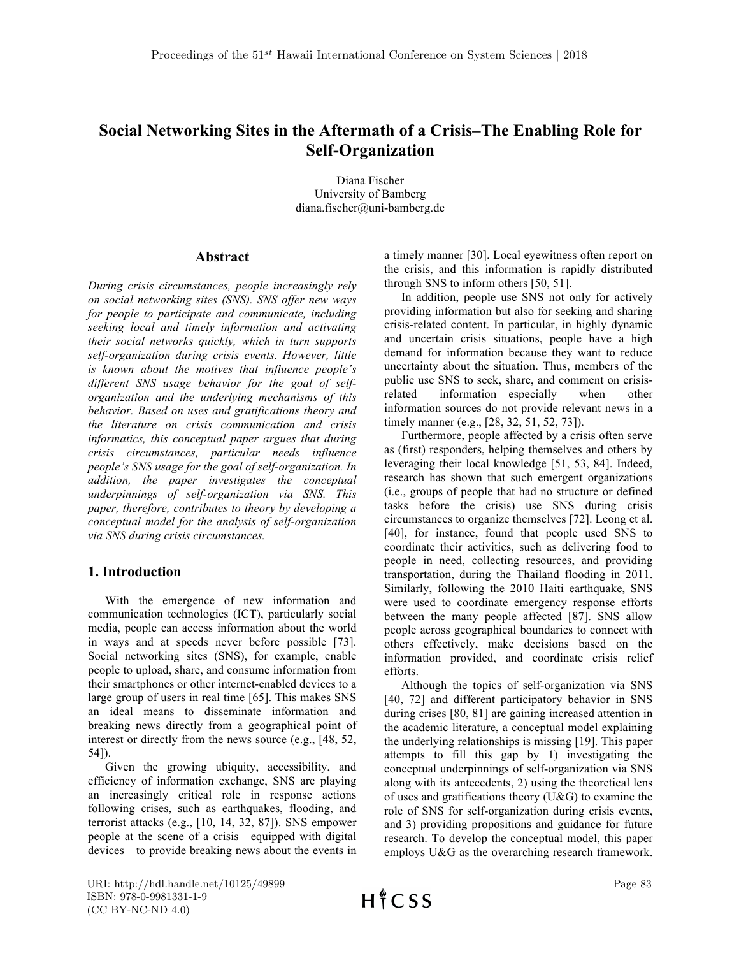# **Social Networking Sites in the Aftermath of a Crisis–The Enabling Role for Self-Organization**

Diana Fischer University of Bamberg diana.fischer@uni-bamberg.de

# **Abstract**

*During crisis circumstances, people increasingly rely on social networking sites (SNS). SNS offer new ways for people to participate and communicate, including seeking local and timely information and activating their social networks quickly, which in turn supports self-organization during crisis events. However, little is known about the motives that influence people's different SNS usage behavior for the goal of selforganization and the underlying mechanisms of this behavior. Based on uses and gratifications theory and the literature on crisis communication and crisis informatics, this conceptual paper argues that during crisis circumstances, particular needs influence people's SNS usage for the goal of self-organization. In addition, the paper investigates the conceptual underpinnings of self-organization via SNS. This paper, therefore, contributes to theory by developing a conceptual model for the analysis of self-organization via SNS during crisis circumstances.*

# **1. Introduction**

With the emergence of new information and communication technologies (ICT), particularly social media, people can access information about the world in ways and at speeds never before possible [73]. Social networking sites (SNS), for example, enable people to upload, share, and consume information from their smartphones or other internet-enabled devices to a large group of users in real time [65]. This makes SNS an ideal means to disseminate information and breaking news directly from a geographical point of interest or directly from the news source (e.g., [48, 52, 54]).

Given the growing ubiquity, accessibility, and efficiency of information exchange, SNS are playing an increasingly critical role in response actions following crises, such as earthquakes, flooding, and terrorist attacks (e.g., [10, 14, 32, 87]). SNS empower people at the scene of a crisis—equipped with digital devices—to provide breaking news about the events in a timely manner [30]. Local eyewitness often report on the crisis, and this information is rapidly distributed through SNS to inform others [50, 51].

In addition, people use SNS not only for actively providing information but also for seeking and sharing crisis-related content. In particular, in highly dynamic and uncertain crisis situations, people have a high demand for information because they want to reduce uncertainty about the situation. Thus, members of the public use SNS to seek, share, and comment on crisisrelated information—especially when other information sources do not provide relevant news in a timely manner (e.g., [28, 32, 51, 52, 73]).

Furthermore, people affected by a crisis often serve as (first) responders, helping themselves and others by leveraging their local knowledge [51, 53, 84]. Indeed, research has shown that such emergent organizations (i.e., groups of people that had no structure or defined tasks before the crisis) use SNS during crisis circumstances to organize themselves [72]. Leong et al. [40], for instance, found that people used SNS to coordinate their activities, such as delivering food to people in need, collecting resources, and providing transportation, during the Thailand flooding in 2011. Similarly, following the 2010 Haiti earthquake, SNS were used to coordinate emergency response efforts between the many people affected [87]. SNS allow people across geographical boundaries to connect with others effectively, make decisions based on the information provided, and coordinate crisis relief efforts.

Although the topics of self-organization via SNS [40, 72] and different participatory behavior in SNS during crises [80, 81] are gaining increased attention in the academic literature, a conceptual model explaining the underlying relationships is missing [19]. This paper attempts to fill this gap by 1) investigating the conceptual underpinnings of self-organization via SNS along with its antecedents, 2) using the theoretical lens of uses and gratifications theory (U&G) to examine the role of SNS for self-organization during crisis events, and 3) providing propositions and guidance for future research. To develop the conceptual model, this paper employs U&G as the overarching research framework.

URI: http://hdl.handle.net/10125/49899 ISBN: 978-0-9981331-1-9 (CC BY-NC-ND 4.0)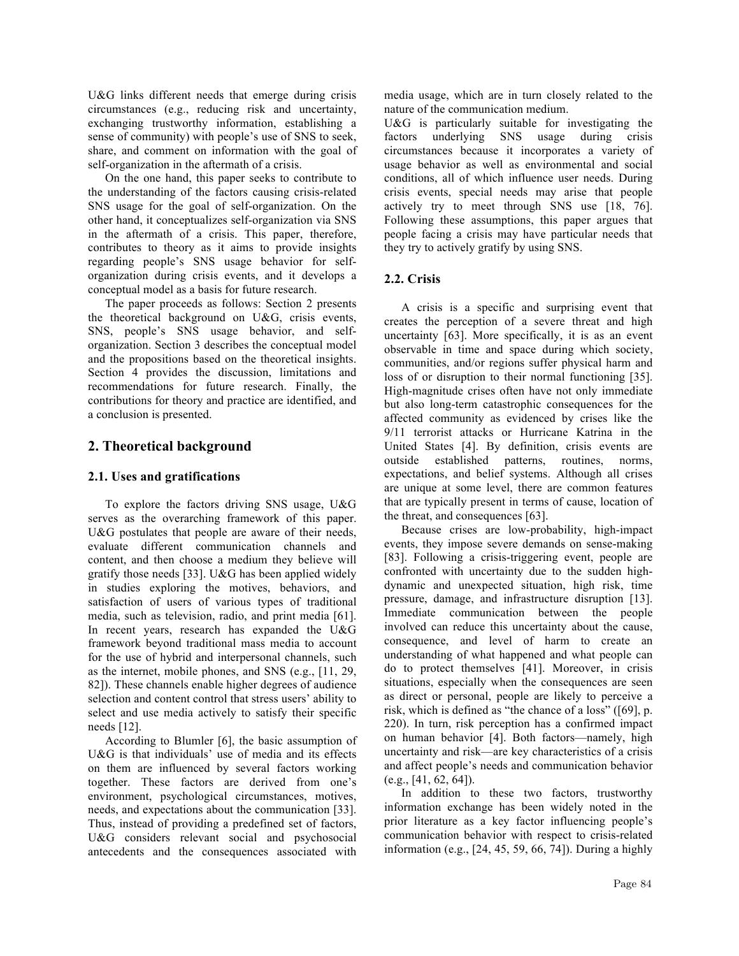U&G links different needs that emerge during crisis circumstances (e.g., reducing risk and uncertainty, exchanging trustworthy information, establishing a sense of community) with people's use of SNS to seek, share, and comment on information with the goal of self-organization in the aftermath of a crisis.

On the one hand, this paper seeks to contribute to the understanding of the factors causing crisis-related SNS usage for the goal of self-organization. On the other hand, it conceptualizes self-organization via SNS in the aftermath of a crisis. This paper, therefore, contributes to theory as it aims to provide insights regarding people's SNS usage behavior for selforganization during crisis events, and it develops a conceptual model as a basis for future research.

The paper proceeds as follows: Section 2 presents the theoretical background on U&G, crisis events, SNS, people's SNS usage behavior, and selforganization. Section 3 describes the conceptual model and the propositions based on the theoretical insights. Section 4 provides the discussion, limitations and recommendations for future research. Finally, the contributions for theory and practice are identified, and a conclusion is presented.

### **2. Theoretical background**

### **2.1. Uses and gratifications**

To explore the factors driving SNS usage, U&G serves as the overarching framework of this paper. U&G postulates that people are aware of their needs, evaluate different communication channels and content, and then choose a medium they believe will gratify those needs [33]. U&G has been applied widely in studies exploring the motives, behaviors, and satisfaction of users of various types of traditional media, such as television, radio, and print media [61]. In recent years, research has expanded the U&G framework beyond traditional mass media to account for the use of hybrid and interpersonal channels, such as the internet, mobile phones, and SNS (e.g., [11, 29, 82]). These channels enable higher degrees of audience selection and content control that stress users' ability to select and use media actively to satisfy their specific needs [12].

According to Blumler [6], the basic assumption of U&G is that individuals' use of media and its effects on them are influenced by several factors working together. These factors are derived from one's environment, psychological circumstances, motives, needs, and expectations about the communication [33]. Thus, instead of providing a predefined set of factors, U&G considers relevant social and psychosocial antecedents and the consequences associated with

media usage, which are in turn closely related to the nature of the communication medium.

U&G is particularly suitable for investigating the factors underlying SNS usage during crisis circumstances because it incorporates a variety of usage behavior as well as environmental and social conditions, all of which influence user needs. During crisis events, special needs may arise that people actively try to meet through SNS use [18, 76]. Following these assumptions, this paper argues that people facing a crisis may have particular needs that they try to actively gratify by using SNS.

### **2.2. Crisis**

A crisis is a specific and surprising event that creates the perception of a severe threat and high uncertainty [63]. More specifically, it is as an event observable in time and space during which society, communities, and/or regions suffer physical harm and loss of or disruption to their normal functioning [35]. High-magnitude crises often have not only immediate but also long-term catastrophic consequences for the affected community as evidenced by crises like the 9/11 terrorist attacks or Hurricane Katrina in the United States [4]. By definition, crisis events are outside established patterns, routines, norms, expectations, and belief systems. Although all crises are unique at some level, there are common features that are typically present in terms of cause, location of the threat, and consequences [63].

Because crises are low-probability, high-impact events, they impose severe demands on sense-making [83]. Following a crisis-triggering event, people are confronted with uncertainty due to the sudden highdynamic and unexpected situation, high risk, time pressure, damage, and infrastructure disruption [13]. Immediate communication between the people involved can reduce this uncertainty about the cause, consequence, and level of harm to create an understanding of what happened and what people can do to protect themselves [41]. Moreover, in crisis situations, especially when the consequences are seen as direct or personal, people are likely to perceive a risk, which is defined as "the chance of a loss" ([69], p. 220). In turn, risk perception has a confirmed impact on human behavior [4]. Both factors—namely, high uncertainty and risk—are key characteristics of a crisis and affect people's needs and communication behavior  $(e.g., [41, 62, 64])$ .

In addition to these two factors, trustworthy information exchange has been widely noted in the prior literature as a key factor influencing people's communication behavior with respect to crisis-related information (e.g., [24, 45, 59, 66, 74]). During a highly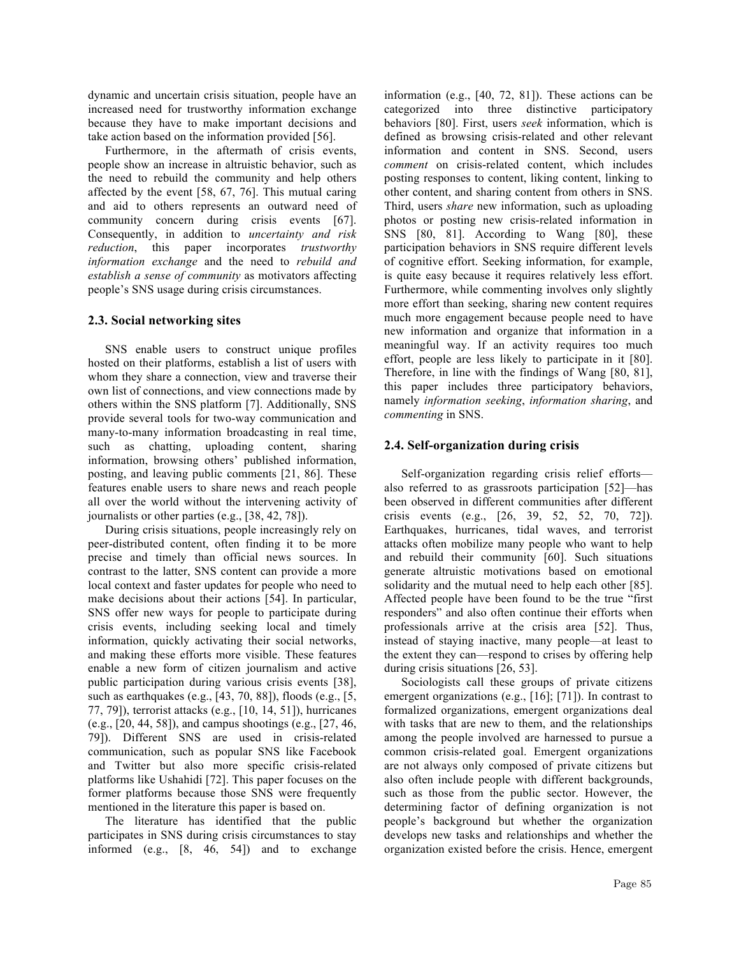dynamic and uncertain crisis situation, people have an increased need for trustworthy information exchange because they have to make important decisions and take action based on the information provided [56].

Furthermore, in the aftermath of crisis events, people show an increase in altruistic behavior, such as the need to rebuild the community and help others affected by the event [58, 67, 76]. This mutual caring and aid to others represents an outward need of community concern during crisis events [67]. Consequently, in addition to *uncertainty and risk reduction*, this paper incorporates *trustworthy information exchange* and the need to *rebuild and establish a sense of community* as motivators affecting people's SNS usage during crisis circumstances.

### **2.3. Social networking sites**

SNS enable users to construct unique profiles hosted on their platforms, establish a list of users with whom they share a connection, view and traverse their own list of connections, and view connections made by others within the SNS platform [7]. Additionally, SNS provide several tools for two-way communication and many-to-many information broadcasting in real time, such as chatting, uploading content, sharing information, browsing others' published information, posting, and leaving public comments [21, 86]. These features enable users to share news and reach people all over the world without the intervening activity of journalists or other parties (e.g., [38, 42, 78]).

During crisis situations, people increasingly rely on peer-distributed content, often finding it to be more precise and timely than official news sources. In contrast to the latter, SNS content can provide a more local context and faster updates for people who need to make decisions about their actions [54]. In particular, SNS offer new ways for people to participate during crisis events, including seeking local and timely information, quickly activating their social networks, and making these efforts more visible. These features enable a new form of citizen journalism and active public participation during various crisis events [38], such as earthquakes (e.g., [43, 70, 88]), floods (e.g., [5, 77, 79]), terrorist attacks (e.g., [10, 14, 51]), hurricanes (e.g., [20, 44, 58]), and campus shootings (e.g., [27, 46, 79]). Different SNS are used in crisis-related communication, such as popular SNS like Facebook and Twitter but also more specific crisis-related platforms like Ushahidi [72]. This paper focuses on the former platforms because those SNS were frequently mentioned in the literature this paper is based on.

The literature has identified that the public participates in SNS during crisis circumstances to stay informed (e.g., [8, 46, 54]) and to exchange information (e.g., [40, 72, 81]). These actions can be categorized into three distinctive participatory behaviors [80]. First, users *seek* information, which is defined as browsing crisis-related and other relevant information and content in SNS. Second, users *comment* on crisis-related content, which includes posting responses to content, liking content, linking to other content, and sharing content from others in SNS. Third, users *share* new information, such as uploading photos or posting new crisis-related information in SNS [80, 81]. According to Wang [80], these participation behaviors in SNS require different levels of cognitive effort. Seeking information, for example, is quite easy because it requires relatively less effort. Furthermore, while commenting involves only slightly more effort than seeking, sharing new content requires much more engagement because people need to have new information and organize that information in a meaningful way. If an activity requires too much effort, people are less likely to participate in it [80]. Therefore, in line with the findings of Wang [80, 81], this paper includes three participatory behaviors, namely *information seeking*, *information sharing*, and *commenting* in SNS.

### **2.4. Self-organization during crisis**

Self-organization regarding crisis relief efforts also referred to as grassroots participation [52]—has been observed in different communities after different crisis events (e.g., [26, 39, 52, 52, 70, 72]). Earthquakes, hurricanes, tidal waves, and terrorist attacks often mobilize many people who want to help and rebuild their community [60]. Such situations generate altruistic motivations based on emotional solidarity and the mutual need to help each other [85]. Affected people have been found to be the true "first responders" and also often continue their efforts when professionals arrive at the crisis area [52]. Thus, instead of staying inactive, many people—at least to the extent they can—respond to crises by offering help during crisis situations [26, 53].

Sociologists call these groups of private citizens emergent organizations (e.g., [16]; [71]). In contrast to formalized organizations, emergent organizations deal with tasks that are new to them, and the relationships among the people involved are harnessed to pursue a common crisis-related goal. Emergent organizations are not always only composed of private citizens but also often include people with different backgrounds, such as those from the public sector. However, the determining factor of defining organization is not people's background but whether the organization develops new tasks and relationships and whether the organization existed before the crisis. Hence, emergent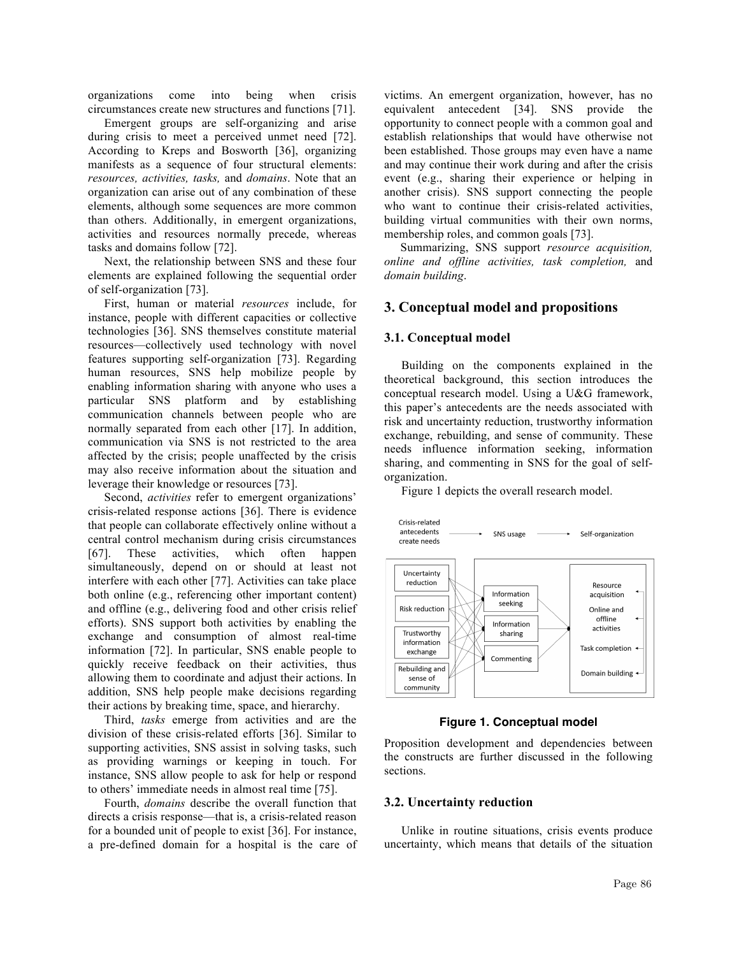organizations come into being when crisis circumstances create new structures and functions [71].

Emergent groups are self-organizing and arise during crisis to meet a perceived unmet need [72]. According to Kreps and Bosworth [36], organizing manifests as a sequence of four structural elements: *resources, activities, tasks,* and *domains*. Note that an organization can arise out of any combination of these elements, although some sequences are more common than others. Additionally, in emergent organizations, activities and resources normally precede, whereas tasks and domains follow [72].

Next, the relationship between SNS and these four elements are explained following the sequential order of self-organization [73].

First, human or material *resources* include, for instance, people with different capacities or collective technologies [36]. SNS themselves constitute material resources—collectively used technology with novel features supporting self-organization [73]. Regarding human resources, SNS help mobilize people by enabling information sharing with anyone who uses a particular SNS platform and by establishing communication channels between people who are normally separated from each other [17]. In addition, communication via SNS is not restricted to the area affected by the crisis; people unaffected by the crisis may also receive information about the situation and leverage their knowledge or resources [73].

Second, *activities* refer to emergent organizations' crisis-related response actions [36]. There is evidence that people can collaborate effectively online without a central control mechanism during crisis circumstances [67]. These activities, which often happen simultaneously, depend on or should at least not interfere with each other [77]. Activities can take place both online (e.g., referencing other important content) and offline (e.g., delivering food and other crisis relief efforts). SNS support both activities by enabling the exchange and consumption of almost real-time information [72]. In particular, SNS enable people to quickly receive feedback on their activities, thus allowing them to coordinate and adjust their actions. In addition, SNS help people make decisions regarding their actions by breaking time, space, and hierarchy.

Third, *tasks* emerge from activities and are the division of these crisis-related efforts [36]. Similar to supporting activities, SNS assist in solving tasks, such as providing warnings or keeping in touch. For instance, SNS allow people to ask for help or respond to others' immediate needs in almost real time [75].

Fourth, *domains* describe the overall function that directs a crisis response—that is, a crisis-related reason for a bounded unit of people to exist [36]. For instance, a pre-defined domain for a hospital is the care of victims. An emergent organization, however, has no equivalent antecedent [34]. SNS provide the opportunity to connect people with a common goal and establish relationships that would have otherwise not been established. Those groups may even have a name and may continue their work during and after the crisis event (e.g., sharing their experience or helping in another crisis). SNS support connecting the people who want to continue their crisis-related activities, building virtual communities with their own norms, membership roles, and common goals [73].

Summarizing, SNS support *resource acquisition, online and offline activities, task completion,* and *domain building*.

### **3. Conceptual model and propositions**

### **3.1. Conceptual model**

Building on the components explained in the theoretical background, this section introduces the conceptual research model. Using a U&G framework, this paper's antecedents are the needs associated with risk and uncertainty reduction, trustworthy information exchange, rebuilding, and sense of community. These needs influence information seeking, information sharing, and commenting in SNS for the goal of selforganization.

Figure 1 depicts the overall research model.



#### **Figure 1. Conceptual model**

Proposition development and dependencies between the constructs are further discussed in the following sections.

#### **3.2. Uncertainty reduction**

Unlike in routine situations, crisis events produce uncertainty, which means that details of the situation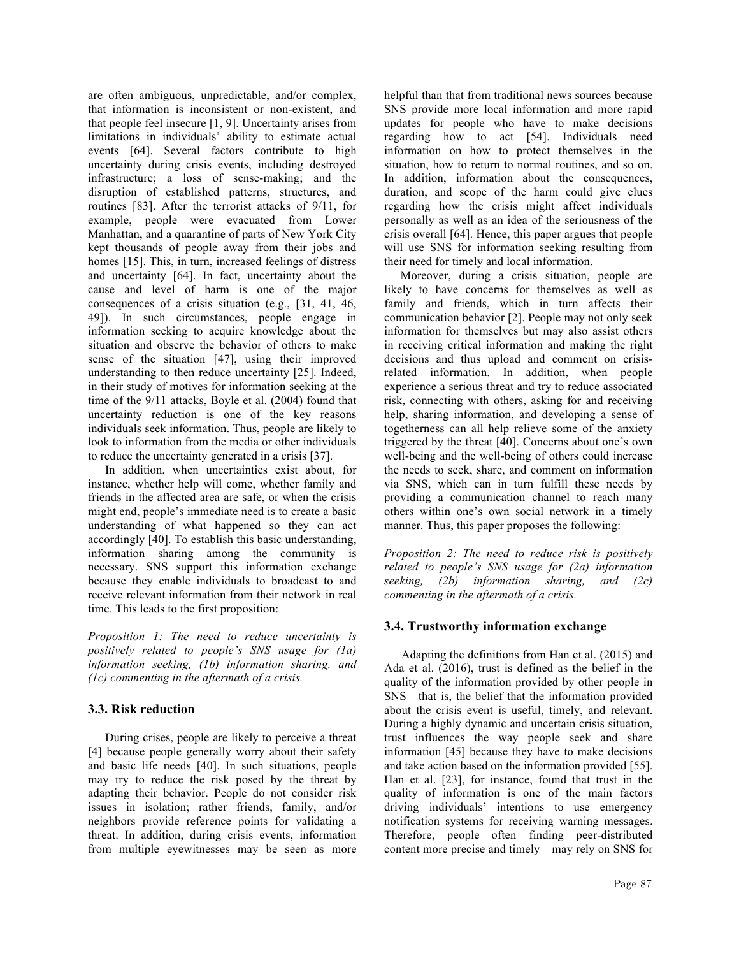are often ambiguous, unpredictable, and/or complex, that information is inconsistent or non-existent, and that people feel insecure [1, 9]. Uncertainty arises from limitations in individuals' ability to estimate actual events [64]. Several factors contribute to high uncertainty during crisis events, including destroyed infrastructure; a loss of sense-making; and the disruption of established patterns, structures, and routines [83]. After the terrorist attacks of 9/11, for example, people were evacuated from Lower Manhattan, and a quarantine of parts of New York City kept thousands of people away from their jobs and homes [15]. This, in turn, increased feelings of distress and uncertainty [64]. In fact, uncertainty about the cause and level of harm is one of the major consequences of a crisis situation (e.g., [31, 41, 46, 49]). In such circumstances, people engage in information seeking to acquire knowledge about the situation and observe the behavior of others to make sense of the situation [47], using their improved understanding to then reduce uncertainty [25]. Indeed, in their study of motives for information seeking at the time of the 9/11 attacks, Boyle et al. (2004) found that uncertainty reduction is one of the key reasons individuals seek information. Thus, people are likely to look to information from the media or other individuals to reduce the uncertainty generated in a crisis [37].

In addition, when uncertainties exist about, for instance, whether help will come, whether family and friends in the affected area are safe, or when the crisis might end, people's immediate need is to create a basic understanding of what happened so they can act accordingly [40]. To establish this basic understanding, information sharing among the community is necessary. SNS support this information exchange because they enable individuals to broadcast to and receive relevant information from their network in real time. This leads to the first proposition:

*Proposition 1: The need to reduce uncertainty is positively related to people's SNS usage for (1a) information seeking, (1b) information sharing, and (1c) commenting in the aftermath of a crisis.*

# **3.3. Risk reduction**

During crises, people are likely to perceive a threat [4] because people generally worry about their safety and basic life needs [40]. In such situations, people may try to reduce the risk posed by the threat by adapting their behavior. People do not consider risk issues in isolation; rather friends, family, and/or neighbors provide reference points for validating a threat. In addition, during crisis events, information from multiple eyewitnesses may be seen as more helpful than that from traditional news sources because SNS provide more local information and more rapid updates for people who have to make decisions regarding how to act [54]. Individuals need information on how to protect themselves in the situation, how to return to normal routines, and so on. In addition, information about the consequences, duration, and scope of the harm could give clues regarding how the crisis might affect individuals personally as well as an idea of the seriousness of the crisis overall [64]. Hence, this paper argues that people will use SNS for information seeking resulting from their need for timely and local information.

Moreover, during a crisis situation, people are likely to have concerns for themselves as well as family and friends, which in turn affects their communication behavior [2]. People may not only seek information for themselves but may also assist others in receiving critical information and making the right decisions and thus upload and comment on crisisrelated information. In addition, when people experience a serious threat and try to reduce associated risk, connecting with others, asking for and receiving help, sharing information, and developing a sense of togetherness can all help relieve some of the anxiety triggered by the threat [40]. Concerns about one's own well-being and the well-being of others could increase the needs to seek, share, and comment on information via SNS, which can in turn fulfill these needs by providing a communication channel to reach many others within one's own social network in a timely manner. Thus, this paper proposes the following:

*Proposition 2: The need to reduce risk is positively related to people's SNS usage for (2a) information seeking, (2b) information sharing, and (2c) commenting in the aftermath of a crisis.*

# **3.4. Trustworthy information exchange**

Adapting the definitions from Han et al. (2015) and Ada et al. (2016), trust is defined as the belief in the quality of the information provided by other people in SNS—that is, the belief that the information provided about the crisis event is useful, timely, and relevant. During a highly dynamic and uncertain crisis situation, trust influences the way people seek and share information [45] because they have to make decisions and take action based on the information provided [55]. Han et al. [23], for instance, found that trust in the quality of information is one of the main factors driving individuals' intentions to use emergency notification systems for receiving warning messages. Therefore, people—often finding peer-distributed content more precise and timely—may rely on SNS for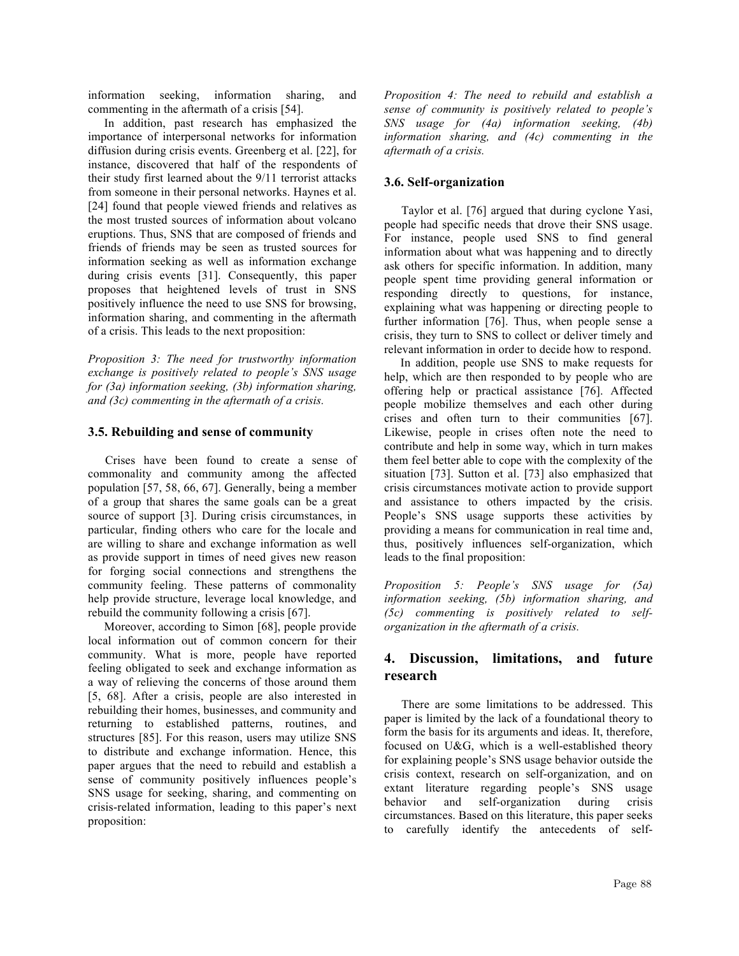information seeking, information sharing, and commenting in the aftermath of a crisis [54].

In addition, past research has emphasized the importance of interpersonal networks for information diffusion during crisis events. Greenberg et al. [22], for instance, discovered that half of the respondents of their study first learned about the 9/11 terrorist attacks from someone in their personal networks. Haynes et al. [24] found that people viewed friends and relatives as the most trusted sources of information about volcano eruptions. Thus, SNS that are composed of friends and friends of friends may be seen as trusted sources for information seeking as well as information exchange during crisis events [31]. Consequently, this paper proposes that heightened levels of trust in SNS positively influence the need to use SNS for browsing, information sharing, and commenting in the aftermath of a crisis. This leads to the next proposition:

*Proposition 3: The need for trustworthy information exchange is positively related to people's SNS usage for (3a) information seeking, (3b) information sharing, and (3c) commenting in the aftermath of a crisis.*

### **3.5. Rebuilding and sense of community**

Crises have been found to create a sense of commonality and community among the affected population [57, 58, 66, 67]. Generally, being a member of a group that shares the same goals can be a great source of support [3]. During crisis circumstances, in particular, finding others who care for the locale and are willing to share and exchange information as well as provide support in times of need gives new reason for forging social connections and strengthens the community feeling. These patterns of commonality help provide structure, leverage local knowledge, and rebuild the community following a crisis [67].

Moreover, according to Simon [68], people provide local information out of common concern for their community. What is more, people have reported feeling obligated to seek and exchange information as a way of relieving the concerns of those around them [5, 68]. After a crisis, people are also interested in rebuilding their homes, businesses, and community and returning to established patterns, routines, and structures [85]. For this reason, users may utilize SNS to distribute and exchange information. Hence, this paper argues that the need to rebuild and establish a sense of community positively influences people's SNS usage for seeking, sharing, and commenting on crisis-related information, leading to this paper's next proposition:

*Proposition 4: The need to rebuild and establish a sense of community is positively related to people's SNS usage for (4a) information seeking, (4b) information sharing, and (4c) commenting in the aftermath of a crisis.*

#### **3.6. Self-organization**

Taylor et al. [76] argued that during cyclone Yasi, people had specific needs that drove their SNS usage. For instance, people used SNS to find general information about what was happening and to directly ask others for specific information. In addition, many people spent time providing general information or responding directly to questions, for instance, explaining what was happening or directing people to further information [76]. Thus, when people sense a crisis, they turn to SNS to collect or deliver timely and relevant information in order to decide how to respond.

In addition, people use SNS to make requests for help, which are then responded to by people who are offering help or practical assistance [76]. Affected people mobilize themselves and each other during crises and often turn to their communities [67]. Likewise, people in crises often note the need to contribute and help in some way, which in turn makes them feel better able to cope with the complexity of the situation [73]. Sutton et al. [73] also emphasized that crisis circumstances motivate action to provide support and assistance to others impacted by the crisis. People's SNS usage supports these activities by providing a means for communication in real time and, thus, positively influences self-organization, which leads to the final proposition:

*Proposition 5: People's SNS usage for (5a) information seeking, (5b) information sharing, and (5c) commenting is positively related to selforganization in the aftermath of a crisis.*

# **4. Discussion, limitations, and future research**

There are some limitations to be addressed. This paper is limited by the lack of a foundational theory to form the basis for its arguments and ideas. It, therefore, focused on U&G, which is a well-established theory for explaining people's SNS usage behavior outside the crisis context, research on self-organization, and on extant literature regarding people's SNS usage behavior and self-organization during crisis circumstances. Based on this literature, this paper seeks to carefully identify the antecedents of self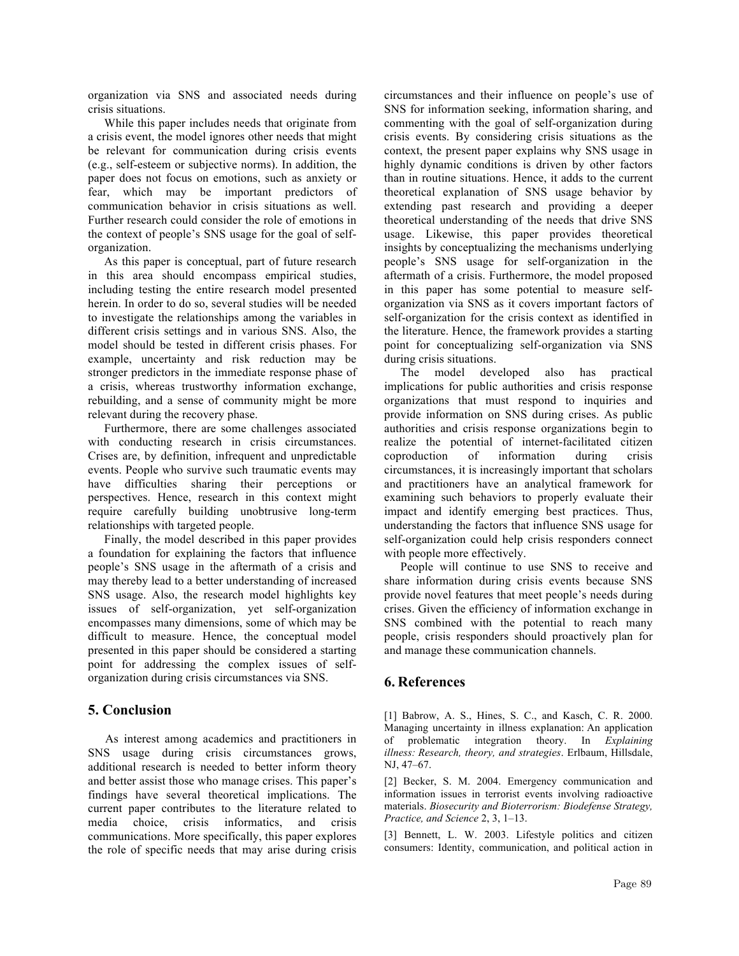organization via SNS and associated needs during crisis situations.

While this paper includes needs that originate from a crisis event, the model ignores other needs that might be relevant for communication during crisis events (e.g., self-esteem or subjective norms). In addition, the paper does not focus on emotions, such as anxiety or fear, which may be important predictors of communication behavior in crisis situations as well. Further research could consider the role of emotions in the context of people's SNS usage for the goal of selforganization.

As this paper is conceptual, part of future research in this area should encompass empirical studies, including testing the entire research model presented herein. In order to do so, several studies will be needed to investigate the relationships among the variables in different crisis settings and in various SNS. Also, the model should be tested in different crisis phases. For example, uncertainty and risk reduction may be stronger predictors in the immediate response phase of a crisis, whereas trustworthy information exchange, rebuilding, and a sense of community might be more relevant during the recovery phase.

Furthermore, there are some challenges associated with conducting research in crisis circumstances. Crises are, by definition, infrequent and unpredictable events. People who survive such traumatic events may have difficulties sharing their perceptions or perspectives. Hence, research in this context might require carefully building unobtrusive long-term relationships with targeted people.

Finally, the model described in this paper provides a foundation for explaining the factors that influence people's SNS usage in the aftermath of a crisis and may thereby lead to a better understanding of increased SNS usage. Also, the research model highlights key issues of self-organization, yet self-organization encompasses many dimensions, some of which may be difficult to measure. Hence, the conceptual model presented in this paper should be considered a starting point for addressing the complex issues of selforganization during crisis circumstances via SNS.

# **5. Conclusion**

As interest among academics and practitioners in SNS usage during crisis circumstances grows, additional research is needed to better inform theory and better assist those who manage crises. This paper's findings have several theoretical implications. The current paper contributes to the literature related to media choice, crisis informatics, and crisis communications. More specifically, this paper explores the role of specific needs that may arise during crisis circumstances and their influence on people's use of SNS for information seeking, information sharing, and commenting with the goal of self-organization during crisis events. By considering crisis situations as the context, the present paper explains why SNS usage in highly dynamic conditions is driven by other factors than in routine situations. Hence, it adds to the current theoretical explanation of SNS usage behavior by extending past research and providing a deeper theoretical understanding of the needs that drive SNS usage. Likewise, this paper provides theoretical insights by conceptualizing the mechanisms underlying people's SNS usage for self-organization in the aftermath of a crisis. Furthermore, the model proposed in this paper has some potential to measure selforganization via SNS as it covers important factors of self-organization for the crisis context as identified in the literature. Hence, the framework provides a starting point for conceptualizing self-organization via SNS during crisis situations.

The model developed also has practical implications for public authorities and crisis response organizations that must respond to inquiries and provide information on SNS during crises. As public authorities and crisis response organizations begin to realize the potential of internet-facilitated citizen coproduction of information during crisis circumstances, it is increasingly important that scholars and practitioners have an analytical framework for examining such behaviors to properly evaluate their impact and identify emerging best practices. Thus, understanding the factors that influence SNS usage for self-organization could help crisis responders connect with people more effectively.

People will continue to use SNS to receive and share information during crisis events because SNS provide novel features that meet people's needs during crises. Given the efficiency of information exchange in SNS combined with the potential to reach many people, crisis responders should proactively plan for and manage these communication channels.

# **6. References**

[1] Babrow, A. S., Hines, S. C., and Kasch, C. R. 2000. Managing uncertainty in illness explanation: An application of problematic integration theory. In *Explaining illness: Research, theory, and strategies*. Erlbaum, Hillsdale, NJ, 47–67.

[2] Becker, S. M. 2004. Emergency communication and information issues in terrorist events involving radioactive materials. *Biosecurity and Bioterrorism: Biodefense Strategy, Practice, and Science* 2, 3, 1–13.

[3] Bennett, L. W. 2003. Lifestyle politics and citizen consumers: Identity, communication, and political action in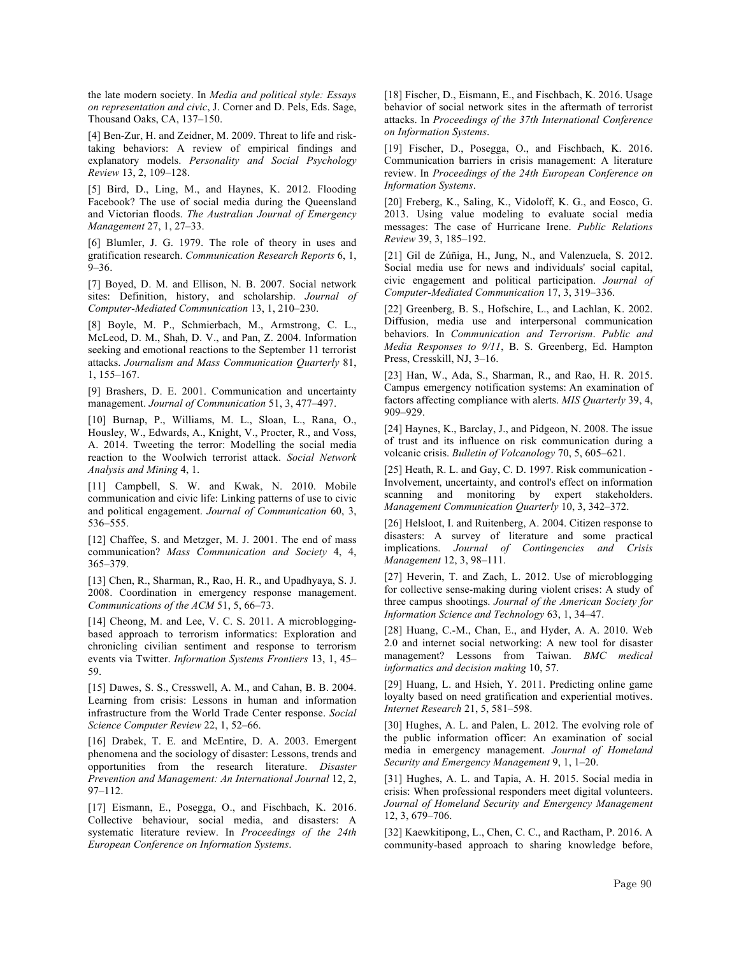the late modern society. In *Media and political style: Essays on representation and civic*, J. Corner and D. Pels, Eds. Sage, Thousand Oaks, CA, 137–150.

[4] Ben-Zur, H. and Zeidner, M. 2009. Threat to life and risktaking behaviors: A review of empirical findings and explanatory models. *Personality and Social Psychology Review* 13, 2, 109–128.

[5] Bird, D., Ling, M., and Haynes, K. 2012. Flooding Facebook? The use of social media during the Queensland and Victorian floods. *The Australian Journal of Emergency Management* 27, 1, 27–33.

[6] Blumler, J. G. 1979. The role of theory in uses and gratification research. *Communication Research Reports* 6, 1, 9–36.

[7] Boyed, D. M. and Ellison, N. B. 2007. Social network sites: Definition, history, and scholarship. *Journal of Computer-Mediated Communication* 13, 1, 210–230.

[8] Boyle, M. P., Schmierbach, M., Armstrong, C. L., McLeod, D. M., Shah, D. V., and Pan, Z. 2004. Information seeking and emotional reactions to the September 11 terrorist attacks. *Journalism and Mass Communication Quarterly* 81, 1, 155–167.

[9] Brashers, D. E. 2001. Communication and uncertainty management. *Journal of Communication* 51, 3, 477–497.

[10] Burnap, P., Williams, M. L., Sloan, L., Rana, O., Housley, W., Edwards, A., Knight, V., Procter, R., and Voss, A. 2014. Tweeting the terror: Modelling the social media reaction to the Woolwich terrorist attack. *Social Network Analysis and Mining* 4, 1.

[11] Campbell, S. W. and Kwak, N. 2010. Mobile communication and civic life: Linking patterns of use to civic and political engagement. *Journal of Communication* 60, 3, 536–555.

[12] Chaffee, S. and Metzger, M. J. 2001. The end of mass communication? *Mass Communication and Society* 4, 4, 365–379.

[13] Chen, R., Sharman, R., Rao, H. R., and Upadhyaya, S. J. 2008. Coordination in emergency response management. *Communications of the ACM* 51, 5, 66–73.

[14] Cheong, M. and Lee, V. C. S. 2011. A microbloggingbased approach to terrorism informatics: Exploration and chronicling civilian sentiment and response to terrorism events via Twitter. *Information Systems Frontiers* 13, 1, 45– 59.

[15] Dawes, S. S., Cresswell, A. M., and Cahan, B. B. 2004. Learning from crisis: Lessons in human and information infrastructure from the World Trade Center response. *Social Science Computer Review* 22, 1, 52–66.

[16] Drabek, T. E. and McEntire, D. A. 2003. Emergent phenomena and the sociology of disaster: Lessons, trends and opportunities from the research literature. *Disaster Prevention and Management: An International Journal* 12, 2, 97–112.

[17] Eismann, E., Posegga, O., and Fischbach, K. 2016. Collective behaviour, social media, and disasters: A systematic literature review. In *Proceedings of the 24th European Conference on Information Systems*.

[18] Fischer, D., Eismann, E., and Fischbach, K. 2016. Usage behavior of social network sites in the aftermath of terrorist attacks. In *Proceedings of the 37th International Conference on Information Systems*.

[19] Fischer, D., Posegga, O., and Fischbach, K. 2016. Communication barriers in crisis management: A literature review. In *Proceedings of the 24th European Conference on Information Systems*.

[20] Freberg, K., Saling, K., Vidoloff, K. G., and Eosco, G. 2013. Using value modeling to evaluate social media messages: The case of Hurricane Irene. *Public Relations Review* 39, 3, 185–192.

[21] Gil de Zúñiga, H., Jung, N., and Valenzuela, S. 2012. Social media use for news and individuals' social capital, civic engagement and political participation. *Journal of Computer-Mediated Communication* 17, 3, 319–336.

[22] Greenberg, B. S., Hofschire, L., and Lachlan, K. 2002. Diffusion, media use and interpersonal communication behaviors. In *Communication and Terrorism*. *Public and Media Responses to 9/11*, B. S. Greenberg, Ed. Hampton Press, Cresskill, NJ, 3–16.

[23] Han, W., Ada, S., Sharman, R., and Rao, H. R. 2015. Campus emergency notification systems: An examination of factors affecting compliance with alerts. *MIS Quarterly* 39, 4, 909–929.

[24] Haynes, K., Barclay, J., and Pidgeon, N. 2008. The issue of trust and its influence on risk communication during a volcanic crisis. *Bulletin of Volcanology* 70, 5, 605–621.

[25] Heath, R. L. and Gay, C. D. 1997. Risk communication -Involvement, uncertainty, and control's effect on information scanning and monitoring by expert stakeholders. *Management Communication Quarterly* 10, 3, 342–372.

[26] Helsloot, I. and Ruitenberg, A. 2004. Citizen response to disasters: A survey of literature and some practical implications. *Journal of Contingencies and Crisis Management* 12, 3, 98–111.

[27] Heverin, T. and Zach, L. 2012. Use of microblogging for collective sense-making during violent crises: A study of three campus shootings. *Journal of the American Society for Information Science and Technology* 63, 1, 34–47.

[28] Huang, C.-M., Chan, E., and Hyder, A. A. 2010. Web 2.0 and internet social networking: A new tool for disaster management? Lessons from Taiwan. *BMC medical informatics and decision making* 10, 57.

[29] Huang, L. and Hsieh, Y. 2011. Predicting online game loyalty based on need gratification and experiential motives. *Internet Research* 21, 5, 581–598.

[30] Hughes, A. L. and Palen, L. 2012. The evolving role of the public information officer: An examination of social media in emergency management. *Journal of Homeland Security and Emergency Management* 9, 1, 1–20.

[31] Hughes, A. L. and Tapia, A. H. 2015. Social media in crisis: When professional responders meet digital volunteers. *Journal of Homeland Security and Emergency Management* 12, 3, 679–706.

[32] Kaewkitipong, L., Chen, C. C., and Ractham, P. 2016. A community-based approach to sharing knowledge before,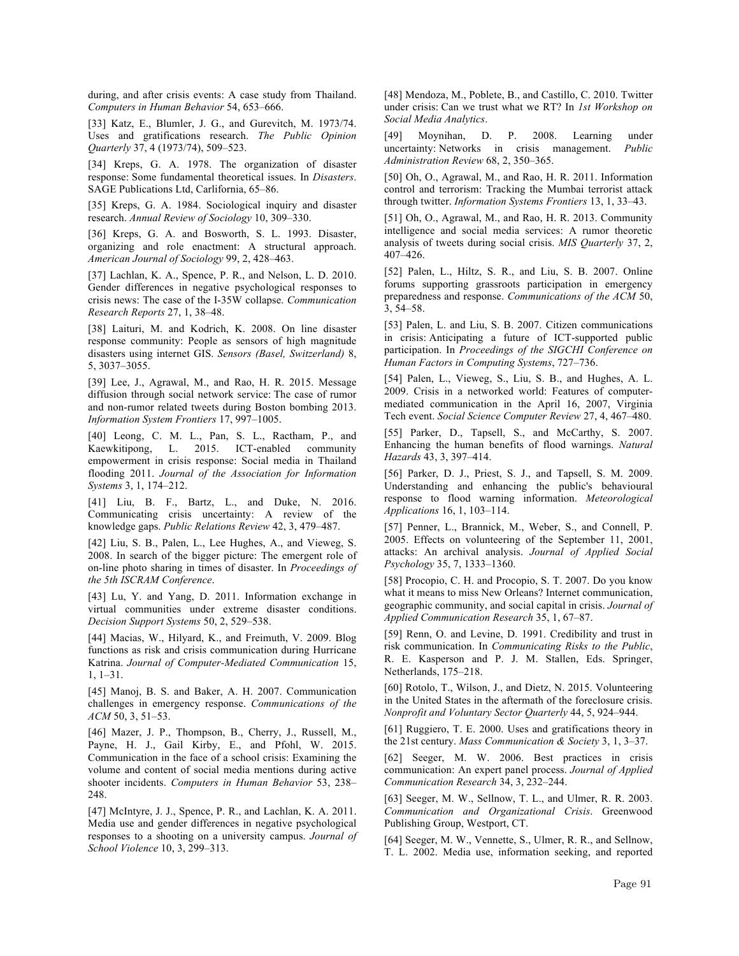during, and after crisis events: A case study from Thailand. *Computers in Human Behavior* 54, 653–666.

[33] Katz, E., Blumler, J. G., and Gurevitch, M. 1973/74. Uses and gratifications research. *The Public Opinion Quarterly* 37, 4 (1973/74), 509–523.

[34] Kreps, G. A. 1978. The organization of disaster response: Some fundamental theoretical issues. In *Disasters*. SAGE Publications Ltd, Carlifornia, 65–86.

[35] Kreps, G. A. 1984. Sociological inquiry and disaster research. *Annual Review of Sociology* 10, 309–330.

[36] Kreps, G. A. and Bosworth, S. L. 1993. Disaster, organizing and role enactment: A structural approach. *American Journal of Sociology* 99, 2, 428–463.

[37] Lachlan, K. A., Spence, P. R., and Nelson, L. D. 2010. Gender differences in negative psychological responses to crisis news: The case of the I-35W collapse. *Communication Research Reports* 27, 1, 38–48.

[38] Laituri, M. and Kodrich, K. 2008. On line disaster response community: People as sensors of high magnitude disasters using internet GIS. *Sensors (Basel, Switzerland)* 8, 5, 3037–3055.

[39] Lee, J., Agrawal, M., and Rao, H. R. 2015. Message diffusion through social network service: The case of rumor and non-rumor related tweets during Boston bombing 2013. *Information System Frontiers* 17, 997–1005.

[40] Leong, C. M. L., Pan, S. L., Ractham, P., and Kaewkitipong, L. 2015. ICT-enabled community empowerment in crisis response: Social media in Thailand flooding 2011. *Journal of the Association for Information Systems* 3, 1, 174–212.

[41] Liu, B. F., Bartz, L., and Duke, N. 2016. Communicating crisis uncertainty: A review of the knowledge gaps. *Public Relations Review* 42, 3, 479–487.

[42] Liu, S. B., Palen, L., Lee Hughes, A., and Vieweg, S. 2008. In search of the bigger picture: The emergent role of on-line photo sharing in times of disaster. In *Proceedings of the 5th ISCRAM Conference*.

[43] Lu, Y. and Yang, D. 2011. Information exchange in virtual communities under extreme disaster conditions. *Decision Support Systems* 50, 2, 529–538.

[44] Macias, W., Hilyard, K., and Freimuth, V. 2009. Blog functions as risk and crisis communication during Hurricane Katrina. *Journal of Computer-Mediated Communication* 15, 1, 1–31.

[45] Manoj, B. S. and Baker, A. H. 2007. Communication challenges in emergency response. *Communications of the ACM* 50, 3, 51–53.

[46] Mazer, J. P., Thompson, B., Cherry, J., Russell, M., Payne, H. J., Gail Kirby, E., and Pfohl, W. 2015. Communication in the face of a school crisis: Examining the volume and content of social media mentions during active shooter incidents. *Computers in Human Behavior* 53, 238– 248.

[47] McIntyre, J. J., Spence, P. R., and Lachlan, K. A. 2011. Media use and gender differences in negative psychological responses to a shooting on a university campus. *Journal of School Violence* 10, 3, 299–313.

[48] Mendoza, M., Poblete, B., and Castillo, C. 2010. Twitter under crisis: Can we trust what we RT? In *1st Workshop on Social Media Analytics*.

[49] Moynihan, D. P. 2008. Learning under uncertainty: Networks in crisis management. *Public Administration Review* 68, 2, 350–365.

[50] Oh, O., Agrawal, M., and Rao, H. R. 2011. Information control and terrorism: Tracking the Mumbai terrorist attack through twitter. *Information Systems Frontiers* 13, 1, 33–43.

[51] Oh, O., Agrawal, M., and Rao, H. R. 2013. Community intelligence and social media services: A rumor theoretic analysis of tweets during social crisis. *MIS Quarterly* 37, 2, 407–426.

[52] Palen, L., Hiltz, S. R., and Liu, S. B. 2007. Online forums supporting grassroots participation in emergency preparedness and response. *Communications of the ACM* 50, 3, 54–58.

[53] Palen, L. and Liu, S. B. 2007. Citizen communications in crisis: Anticipating a future of ICT-supported public participation. In *Proceedings of the SIGCHI Conference on Human Factors in Computing Systems*, 727–736.

[54] Palen, L., Vieweg, S., Liu, S. B., and Hughes, A. L. 2009. Crisis in a networked world: Features of computermediated communication in the April 16, 2007, Virginia Tech event. *Social Science Computer Review* 27, 4, 467–480.

[55] Parker, D., Tapsell, S., and McCarthy, S. 2007. Enhancing the human benefits of flood warnings. *Natural Hazards* 43, 3, 397–414.

[56] Parker, D. J., Priest, S. J., and Tapsell, S. M. 2009. Understanding and enhancing the public's behavioural response to flood warning information. *Meteorological Applications* 16, 1, 103–114.

[57] Penner, L., Brannick, M., Weber, S., and Connell, P. 2005. Effects on volunteering of the September 11, 2001, attacks: An archival analysis. *Journal of Applied Social Psychology* 35, 7, 1333–1360.

[58] Procopio, C. H. and Procopio, S. T. 2007. Do you know what it means to miss New Orleans? Internet communication, geographic community, and social capital in crisis. *Journal of Applied Communication Research* 35, 1, 67–87.

[59] Renn, O. and Levine, D. 1991. Credibility and trust in risk communication. In *Communicating Risks to the Public*, R. E. Kasperson and P. J. M. Stallen, Eds. Springer, Netherlands, 175–218.

[60] Rotolo, T., Wilson, J., and Dietz, N. 2015. Volunteering in the United States in the aftermath of the foreclosure crisis. *Nonprofit and Voluntary Sector Quarterly* 44, 5, 924–944.

[61] Ruggiero, T. E. 2000. Uses and gratifications theory in the 21st century. *Mass Communication & Society* 3, 1, 3–37.

[62] Seeger, M. W. 2006. Best practices in crisis communication: An expert panel process. *Journal of Applied Communication Research* 34, 3, 232–244.

[63] Seeger, M. W., Sellnow, T. L., and Ulmer, R. R. 2003. *Communication and Organizational Crisis*. Greenwood Publishing Group, Westport, CT.

[64] Seeger, M. W., Vennette, S., Ulmer, R. R., and Sellnow, T. L. 2002. Media use, information seeking, and reported